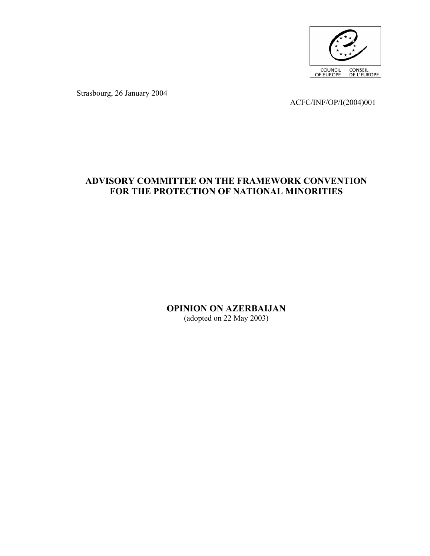

Strasbourg, 26 January 2004

ACFC/INF/OP/I(2004)001

# **ADVISORY COMMITTEE ON THE FRAMEWORK CONVENTION FOR THE PROTECTION OF NATIONAL MINORITIES**

**OPINION ON AZERBAIJAN** 

(adopted on 22 May 2003)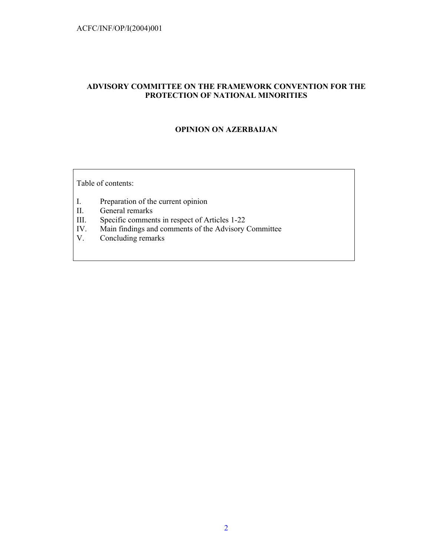# **ADVISORY COMMITTEE ON THE FRAMEWORK CONVENTION FOR THE PROTECTION OF NATIONAL MINORITIES**

# **OPINION ON AZERBAIJAN**

Table of contents:

- I. Preparation of the current opinion
- II. General remarks
- III. Specific comments in respect of Articles 1-22
- IV. Main findings and comments of the Advisory Committee
- V. Concluding remarks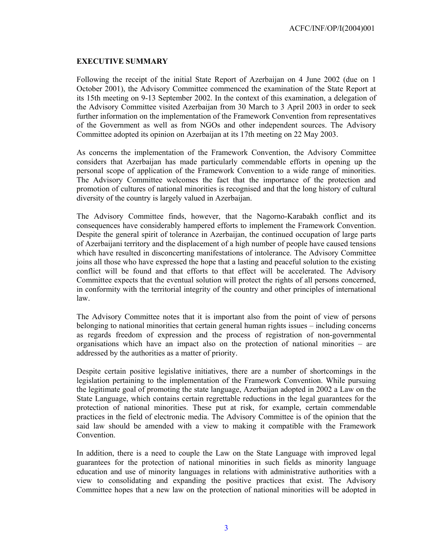# **EXECUTIVE SUMMARY**

Following the receipt of the initial State Report of Azerbaijan on 4 June 2002 (due on 1 October 2001), the Advisory Committee commenced the examination of the State Report at its 15th meeting on 9-13 September 2002. In the context of this examination, a delegation of the Advisory Committee visited Azerbaijan from 30 March to 3 April 2003 in order to seek further information on the implementation of the Framework Convention from representatives of the Government as well as from NGOs and other independent sources. The Advisory Committee adopted its opinion on Azerbaijan at its 17th meeting on 22 May 2003.

As concerns the implementation of the Framework Convention, the Advisory Committee considers that Azerbaijan has made particularly commendable efforts in opening up the personal scope of application of the Framework Convention to a wide range of minorities. The Advisory Committee welcomes the fact that the importance of the protection and promotion of cultures of national minorities is recognised and that the long history of cultural diversity of the country is largely valued in Azerbaijan.

The Advisory Committee finds, however, that the Nagorno-Karabakh conflict and its consequences have considerably hampered efforts to implement the Framework Convention. Despite the general spirit of tolerance in Azerbaijan, the continued occupation of large parts of Azerbaijani territory and the displacement of a high number of people have caused tensions which have resulted in disconcerting manifestations of intolerance. The Advisory Committee joins all those who have expressed the hope that a lasting and peaceful solution to the existing conflict will be found and that efforts to that effect will be accelerated. The Advisory Committee expects that the eventual solution will protect the rights of all persons concerned, in conformity with the territorial integrity of the country and other principles of international law.

The Advisory Committee notes that it is important also from the point of view of persons belonging to national minorities that certain general human rights issues – including concerns as regards freedom of expression and the process of registration of non-governmental organisations which have an impact also on the protection of national minorities – are addressed by the authorities as a matter of priority.

Despite certain positive legislative initiatives, there are a number of shortcomings in the legislation pertaining to the implementation of the Framework Convention. While pursuing the legitimate goal of promoting the state language, Azerbaijan adopted in 2002 a Law on the State Language, which contains certain regrettable reductions in the legal guarantees for the protection of national minorities. These put at risk, for example, certain commendable practices in the field of electronic media. The Advisory Committee is of the opinion that the said law should be amended with a view to making it compatible with the Framework Convention.

In addition, there is a need to couple the Law on the State Language with improved legal guarantees for the protection of national minorities in such fields as minority language education and use of minority languages in relations with administrative authorities with a view to consolidating and expanding the positive practices that exist. The Advisory Committee hopes that a new law on the protection of national minorities will be adopted in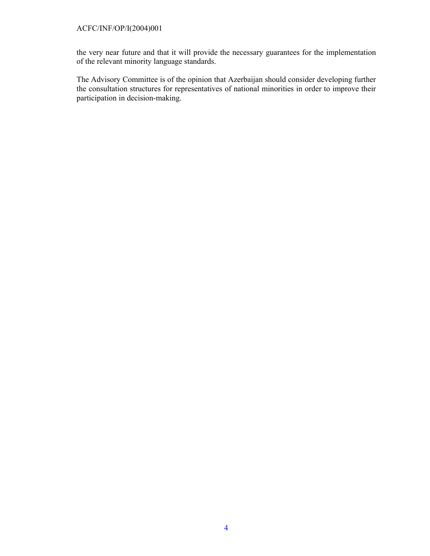the very near future and that it will provide the necessary guarantees for the implementation of the relevant minority language standards.

The Advisory Committee is of the opinion that Azerbaijan should consider developing further the consultation structures for representatives of national minorities in order to improve their participation in decision-making.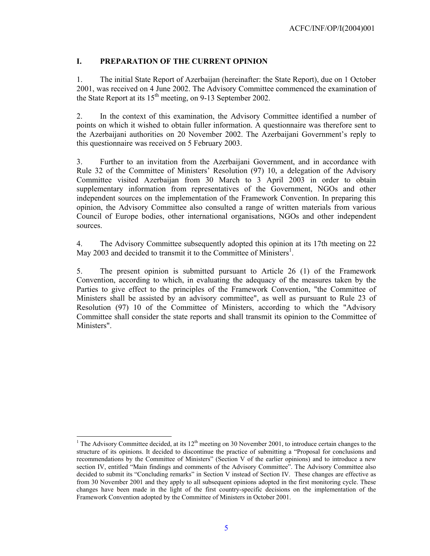# **I. PREPARATION OF THE CURRENT OPINION**

1. The initial State Report of Azerbaijan (hereinafter: the State Report), due on 1 October 2001, was received on 4 June 2002. The Advisory Committee commenced the examination of the State Report at its  $15<sup>th</sup>$  meeting, on 9-13 September 2002.

2. In the context of this examination, the Advisory Committee identified a number of points on which it wished to obtain fuller information. A questionnaire was therefore sent to the Azerbaijani authorities on 20 November 2002. The Azerbaijani Government's reply to this questionnaire was received on 5 February 2003.

3. Further to an invitation from the Azerbaijani Government, and in accordance with Rule 32 of the Committee of Ministers' Resolution (97) 10, a delegation of the Advisory Committee visited Azerbaijan from 30 March to 3 April 2003 in order to obtain supplementary information from representatives of the Government, NGOs and other independent sources on the implementation of the Framework Convention. In preparing this opinion, the Advisory Committee also consulted a range of written materials from various Council of Europe bodies, other international organisations, NGOs and other independent sources.

4. The Advisory Committee subsequently adopted this opinion at its 17th meeting on 22 May 2003 and decided to transmit it to the Committee of Ministers<sup>1</sup>.

5. The present opinion is submitted pursuant to Article 26 (1) of the Framework Convention, according to which, in evaluating the adequacy of the measures taken by the Parties to give effect to the principles of the Framework Convention, "the Committee of Ministers shall be assisted by an advisory committee", as well as pursuant to Rule 23 of Resolution (97) 10 of the Committee of Ministers, according to which the "Advisory Committee shall consider the state reports and shall transmit its opinion to the Committee of Ministers".

 $\overline{a}$ 

<sup>&</sup>lt;sup>1</sup> The Advisory Committee decided, at its  $12<sup>th</sup>$  meeting on 30 November 2001, to introduce certain changes to the structure of its opinions. It decided to discontinue the practice of submitting a "Proposal for conclusions and recommendations by the Committee of Ministers" (Section V of the earlier opinions) and to introduce a new section IV, entitled "Main findings and comments of the Advisory Committee". The Advisory Committee also decided to submit its "Concluding remarks" in Section V instead of Section IV. These changes are effective as from 30 November 2001 and they apply to all subsequent opinions adopted in the first monitoring cycle. These changes have been made in the light of the first country-specific decisions on the implementation of the Framework Convention adopted by the Committee of Ministers in October 2001.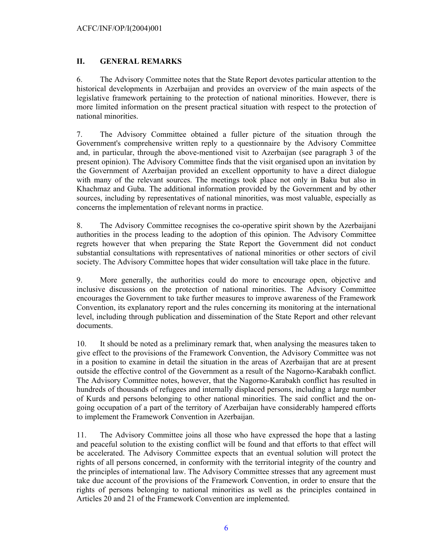# **II. GENERAL REMARKS**

6. The Advisory Committee notes that the State Report devotes particular attention to the historical developments in Azerbaijan and provides an overview of the main aspects of the legislative framework pertaining to the protection of national minorities. However, there is more limited information on the present practical situation with respect to the protection of national minorities.

7. The Advisory Committee obtained a fuller picture of the situation through the Government's comprehensive written reply to a questionnaire by the Advisory Committee and, in particular, through the above-mentioned visit to Azerbaijan (see paragraph 3 of the present opinion). The Advisory Committee finds that the visit organised upon an invitation by the Government of Azerbaijan provided an excellent opportunity to have a direct dialogue with many of the relevant sources. The meetings took place not only in Baku but also in Khachmaz and Guba. The additional information provided by the Government and by other sources, including by representatives of national minorities, was most valuable, especially as concerns the implementation of relevant norms in practice.

8. The Advisory Committee recognises the co-operative spirit shown by the Azerbaijani authorities in the process leading to the adoption of this opinion. The Advisory Committee regrets however that when preparing the State Report the Government did not conduct substantial consultations with representatives of national minorities or other sectors of civil society. The Advisory Committee hopes that wider consultation will take place in the future.

9. More generally, the authorities could do more to encourage open, objective and inclusive discussions on the protection of national minorities. The Advisory Committee encourages the Government to take further measures to improve awareness of the Framework Convention, its explanatory report and the rules concerning its monitoring at the international level, including through publication and dissemination of the State Report and other relevant documents.

10. It should be noted as a preliminary remark that, when analysing the measures taken to give effect to the provisions of the Framework Convention, the Advisory Committee was not in a position to examine in detail the situation in the areas of Azerbaijan that are at present outside the effective control of the Government as a result of the Nagorno-Karabakh conflict. The Advisory Committee notes, however, that the Nagorno-Karabakh conflict has resulted in hundreds of thousands of refugees and internally displaced persons, including a large number of Kurds and persons belonging to other national minorities. The said conflict and the ongoing occupation of a part of the territory of Azerbaijan have considerably hampered efforts to implement the Framework Convention in Azerbaijan.

11. The Advisory Committee joins all those who have expressed the hope that a lasting and peaceful solution to the existing conflict will be found and that efforts to that effect will be accelerated. The Advisory Committee expects that an eventual solution will protect the rights of all persons concerned, in conformity with the territorial integrity of the country and the principles of international law. The Advisory Committee stresses that any agreement must take due account of the provisions of the Framework Convention, in order to ensure that the rights of persons belonging to national minorities as well as the principles contained in Articles 20 and 21 of the Framework Convention are implemented.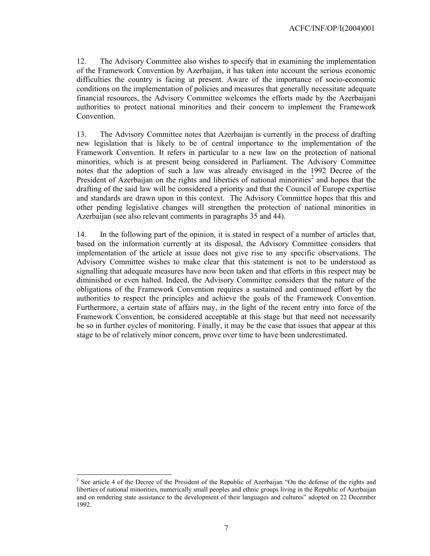12. The Advisory Committee also wishes to specify that in examining the implementation of the Framework Convention by Azerbaijan, it has taken into account the serious economic difficulties the country is facing at present. Aware of the importance of socio-economic conditions on the implementation of policies and measures that generally necessitate adequate financial resources, the Advisory Committee welcomes the efforts made by the Azerbaijani authorities to protect national minorities and their concern to implement the Framework Convention.

13. The Advisory Committee notes that Azerbaijan is currently in the process of drafting new legislation that is likely to be of central importance to the implementation of the Framework Convention. It refers in particular to a new law on the protection of national minorities, which is at present being considered in Parliament. The Advisory Committee notes that the adoption of such a law was already envisaged in the 1992 Decree of the President of Azerbaijan on the rights and liberties of national minorities<sup>2</sup> and hopes that the drafting of the said law will be considered a priority and that the Council of Europe expertise and standards are drawn upon in this context. The Advisory Committee hopes that this and other pending legislative changes will strengthen the protection of national minorities in Azerbaijan (see also relevant comments in paragraphs 35 and 44).

14. In the following part of the opinion, it is stated in respect of a number of articles that, based on the information currently at its disposal, the Advisory Committee considers that implementation of the article at issue does not give rise to any specific observations. The Advisory Committee wishes to make clear that this statement is not to be understood as signalling that adequate measures have now been taken and that efforts in this respect may be diminished or even halted. Indeed, the Advisory Committee considers that the nature of the obligations of the Framework Convention requires a sustained and continued effort by the authorities to respect the principles and achieve the goals of the Framework Convention. Furthermore, a certain state of affairs may, in the light of the recent entry into force of the Framework Convention, be considered acceptable at this stage but that need not necessarily be so in further cycles of monitoring. Finally, it may be the case that issues that appear at this stage to be of relatively minor concern, prove over time to have been underestimated.

l

<sup>&</sup>lt;sup>2</sup> See article 4 of the Decree of the President of the Republic of Azerbaijan "On the defense of the rights and liberties of national minorities, numerically small peoples and ethnic groups living in the Republic of Azerbaijan and on rendering state assistance to the development of their languages and cultures" adopted on 22 December 1992.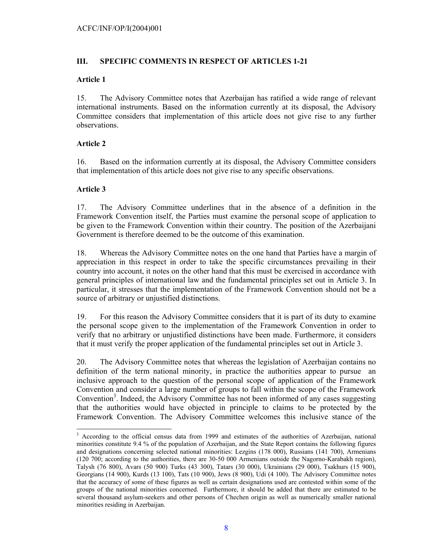# **III. SPECIFIC COMMENTS IN RESPECT OF ARTICLES 1-21**

### **Article 1**

15. The Advisory Committee notes that Azerbaijan has ratified a wide range of relevant international instruments. Based on the information currently at its disposal, the Advisory Committee considers that implementation of this article does not give rise to any further observations.

# **Article 2**

16. Based on the information currently at its disposal, the Advisory Committee considers that implementation of this article does not give rise to any specific observations.

# **Article 3**

l

17. The Advisory Committee underlines that in the absence of a definition in the Framework Convention itself, the Parties must examine the personal scope of application to be given to the Framework Convention within their country. The position of the Azerbaijani Government is therefore deemed to be the outcome of this examination.

18. Whereas the Advisory Committee notes on the one hand that Parties have a margin of appreciation in this respect in order to take the specific circumstances prevailing in their country into account, it notes on the other hand that this must be exercised in accordance with general principles of international law and the fundamental principles set out in Article 3. In particular, it stresses that the implementation of the Framework Convention should not be a source of arbitrary or unjustified distinctions.

19. For this reason the Advisory Committee considers that it is part of its duty to examine the personal scope given to the implementation of the Framework Convention in order to verify that no arbitrary or unjustified distinctions have been made. Furthermore, it considers that it must verify the proper application of the fundamental principles set out in Article 3.

20. The Advisory Committee notes that whereas the legislation of Azerbaijan contains no definition of the term national minority, in practice the authorities appear to pursue an inclusive approach to the question of the personal scope of application of the Framework Convention and consider a large number of groups to fall within the scope of the Framework Convention<sup>3</sup>. Indeed, the Advisory Committee has not been informed of any cases suggesting that the authorities would have objected in principle to claims to be protected by the Framework Convention. The Advisory Committee welcomes this inclusive stance of the

<sup>&</sup>lt;sup>3</sup> According to the official census data from 1999 and estimates of the authorities of Azerbaijan, national minorities constitute 9.4 % of the population of Azerbaijan, and the State Report contains the following figures and designations concerning selected national minorities: Lezgins (178 000), Russians (141 700), Armenians (120 700; according to the authorities, there are 30-50 000 Armenians outside the Nagorno-Karabakh region), Talysh (76 800), Avars (50 900) Turks (43 300), Tatars (30 000), Ukrainians (29 000), Tsakhurs (15 900), Georgians (14 900), Kurds (13 100), Tats (10 900), Jews (8 900), Udi (4 100). The Advisory Committee notes that the accuracy of some of these figures as well as certain designations used are contested within some of the groups of the national minorities concerned. Furthermore, it should be added that there are estimated to be several thousand asylum-seekers and other persons of Chechen origin as well as numerically smaller national minorities residing in Azerbaijan.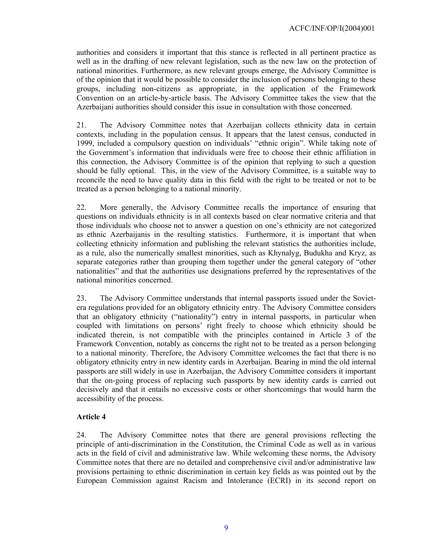authorities and considers it important that this stance is reflected in all pertinent practice as well as in the drafting of new relevant legislation, such as the new law on the protection of national minorities. Furthermore, as new relevant groups emerge, the Advisory Committee is of the opinion that it would be possible to consider the inclusion of persons belonging to these groups, including non-citizens as appropriate, in the application of the Framework Convention on an article-by-article basis. The Advisory Committee takes the view that the Azerbaijani authorities should consider this issue in consultation with those concerned.

21. The Advisory Committee notes that Azerbaijan collects ethnicity data in certain contexts, including in the population census. It appears that the latest census, conducted in 1999, included a compulsory question on individuals' "ethnic origin". While taking note of the Government's information that individuals were free to choose their ethnic affiliation in this connection, the Advisory Committee is of the opinion that replying to such a question should be fully optional. This, in the view of the Advisory Committee, is a suitable way to reconcile the need to have quality data in this field with the right to be treated or not to be treated as a person belonging to a national minority.

22. More generally, the Advisory Committee recalls the importance of ensuring that questions on individuals ethnicity is in all contexts based on clear normative criteria and that those individuals who choose not to answer a question on one's ethnicity are not categorized as ethnic Azerbaijanis in the resulting statistics. Furthermore, it is important that when collecting ethnicity information and publishing the relevant statistics the authorities include, as a rule, also the numerically smallest minorities, such as Khynalyg, Budukha and Kryz, as separate categories rather than grouping them together under the general category of "other nationalities" and that the authorities use designations preferred by the representatives of the national minorities concerned.

23. The Advisory Committee understands that internal passports issued under the Sovietera regulations provided for an obligatory ethnicity entry. The Advisory Committee considers that an obligatory ethnicity ("nationality") entry in internal passports, in particular when coupled with limitations on persons' right freely to choose which ethnicity should be indicated therein, is not compatible with the principles contained in Article 3 of the Framework Convention, notably as concerns the right not to be treated as a person belonging to a national minority. Therefore, the Advisory Committee welcomes the fact that there is no obligatory ethnicity entry in new identity cards in Azerbaijan. Bearing in mind the old internal passports are still widely in use in Azerbaijan, the Advisory Committee considers it important that the on-going process of replacing such passports by new identity cards is carried out decisively and that it entails no excessive costs or other shortcomings that would harm the accessibility of the process.

#### **Article 4**

24. The Advisory Committee notes that there are general provisions reflecting the principle of anti-discrimination in the Constitution, the Criminal Code as well as in various acts in the field of civil and administrative law. While welcoming these norms, the Advisory Committee notes that there are no detailed and comprehensive civil and/or administrative law provisions pertaining to ethnic discrimination in certain key fields as was pointed out by the European Commission against Racism and Intolerance (ECRI) in its second report on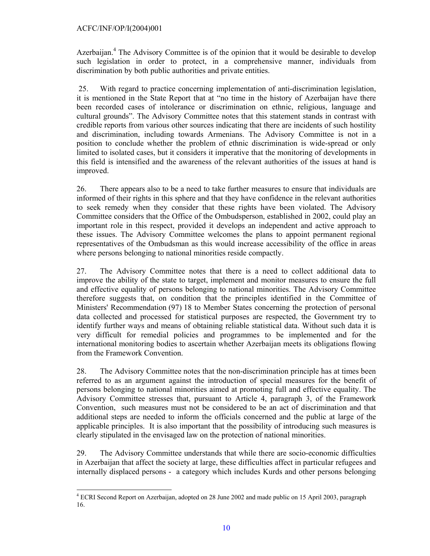$\overline{a}$ 

Azerbaijan.<sup>4</sup> The Advisory Committee is of the opinion that it would be desirable to develop such legislation in order to protect, in a comprehensive manner, individuals from discrimination by both public authorities and private entities.

 25. With regard to practice concerning implementation of anti-discrimination legislation, it is mentioned in the State Report that at "no time in the history of Azerbaijan have there been recorded cases of intolerance or discrimination on ethnic, religious, language and cultural grounds". The Advisory Committee notes that this statement stands in contrast with credible reports from various other sources indicating that there are incidents of such hostility and discrimination, including towards Armenians. The Advisory Committee is not in a position to conclude whether the problem of ethnic discrimination is wide-spread or only limited to isolated cases, but it considers it imperative that the monitoring of developments in this field is intensified and the awareness of the relevant authorities of the issues at hand is improved.

26. There appears also to be a need to take further measures to ensure that individuals are informed of their rights in this sphere and that they have confidence in the relevant authorities to seek remedy when they consider that these rights have been violated. The Advisory Committee considers that the Office of the Ombudsperson, established in 2002, could play an important role in this respect, provided it develops an independent and active approach to these issues. The Advisory Committee welcomes the plans to appoint permanent regional representatives of the Ombudsman as this would increase accessibility of the office in areas where persons belonging to national minorities reside compactly.

27. The Advisory Committee notes that there is a need to collect additional data to improve the ability of the state to target, implement and monitor measures to ensure the full and effective equality of persons belonging to national minorities. The Advisory Committee therefore suggests that, on condition that the principles identified in the Committee of Ministers' Recommendation (97) 18 to Member States concerning the protection of personal data collected and processed for statistical purposes are respected, the Government try to identify further ways and means of obtaining reliable statistical data. Without such data it is very difficult for remedial policies and programmes to be implemented and for the international monitoring bodies to ascertain whether Azerbaijan meets its obligations flowing from the Framework Convention.

28. The Advisory Committee notes that the non-discrimination principle has at times been referred to as an argument against the introduction of special measures for the benefit of persons belonging to national minorities aimed at promoting full and effective equality. The Advisory Committee stresses that, pursuant to Article 4, paragraph 3, of the Framework Convention, such measures must not be considered to be an act of discrimination and that additional steps are needed to inform the officials concerned and the public at large of the applicable principles. It is also important that the possibility of introducing such measures is clearly stipulated in the envisaged law on the protection of national minorities.

29. The Advisory Committee understands that while there are socio-economic difficulties in Azerbaijan that affect the society at large, these difficulties affect in particular refugees and internally displaced persons - a category which includes Kurds and other persons belonging

<sup>&</sup>lt;sup>4</sup> ECRI Second Report on Azerbaijan, adopted on 28 June 2002 and made public on 15 April 2003, paragraph 16.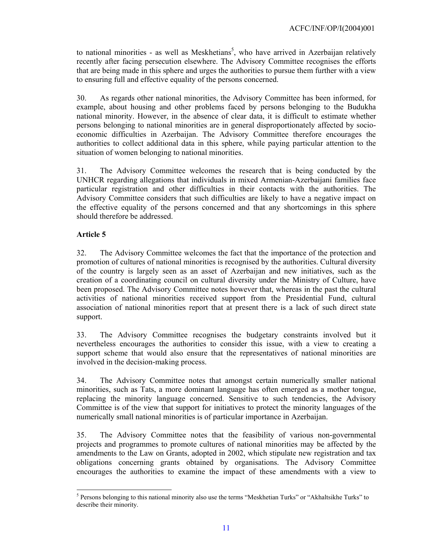to national minorities - as well as Meskhetians<sup>5</sup>, who have arrived in Azerbaijan relatively recently after facing persecution elsewhere. The Advisory Committee recognises the efforts that are being made in this sphere and urges the authorities to pursue them further with a view to ensuring full and effective equality of the persons concerned.

30. As regards other national minorities, the Advisory Committee has been informed, for example, about housing and other problems faced by persons belonging to the Budukha national minority. However, in the absence of clear data, it is difficult to estimate whether persons belonging to national minorities are in general disproportionately affected by socioeconomic difficulties in Azerbaijan. The Advisory Committee therefore encourages the authorities to collect additional data in this sphere, while paying particular attention to the situation of women belonging to national minorities.

31. The Advisory Committee welcomes the research that is being conducted by the UNHCR regarding allegations that individuals in mixed Armenian-Azerbaijani families face particular registration and other difficulties in their contacts with the authorities. The Advisory Committee considers that such difficulties are likely to have a negative impact on the effective equality of the persons concerned and that any shortcomings in this sphere should therefore be addressed.

# **Article 5**

 $\overline{a}$ 

32. The Advisory Committee welcomes the fact that the importance of the protection and promotion of cultures of national minorities is recognised by the authorities. Cultural diversity of the country is largely seen as an asset of Azerbaijan and new initiatives, such as the creation of a coordinating council on cultural diversity under the Ministry of Culture, have been proposed. The Advisory Committee notes however that, whereas in the past the cultural activities of national minorities received support from the Presidential Fund, cultural association of national minorities report that at present there is a lack of such direct state support.

33. The Advisory Committee recognises the budgetary constraints involved but it nevertheless encourages the authorities to consider this issue, with a view to creating a support scheme that would also ensure that the representatives of national minorities are involved in the decision-making process.

34. The Advisory Committee notes that amongst certain numerically smaller national minorities, such as Tats, a more dominant language has often emerged as a mother tongue, replacing the minority language concerned. Sensitive to such tendencies, the Advisory Committee is of the view that support for initiatives to protect the minority languages of the numerically small national minorities is of particular importance in Azerbaijan.

35. The Advisory Committee notes that the feasibility of various non-governmental projects and programmes to promote cultures of national minorities may be affected by the amendments to the Law on Grants, adopted in 2002, which stipulate new registration and tax obligations concerning grants obtained by organisations. The Advisory Committee encourages the authorities to examine the impact of these amendments with a view to

<sup>&</sup>lt;sup>5</sup> Persons belonging to this national minority also use the terms "Meskhetian Turks" or "Akhaltsikhe Turks" to describe their minority.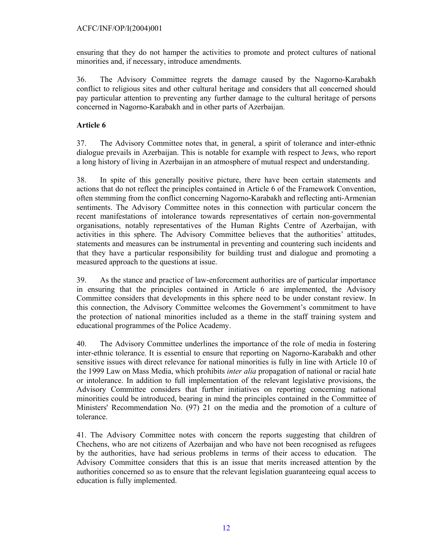ensuring that they do not hamper the activities to promote and protect cultures of national minorities and, if necessary, introduce amendments.

36. The Advisory Committee regrets the damage caused by the Nagorno-Karabakh conflict to religious sites and other cultural heritage and considers that all concerned should pay particular attention to preventing any further damage to the cultural heritage of persons concerned in Nagorno-Karabakh and in other parts of Azerbaijan.

# **Article 6**

37. The Advisory Committee notes that, in general, a spirit of tolerance and inter-ethnic dialogue prevails in Azerbaijan. This is notable for example with respect to Jews, who report a long history of living in Azerbaijan in an atmosphere of mutual respect and understanding.

38. In spite of this generally positive picture, there have been certain statements and actions that do not reflect the principles contained in Article 6 of the Framework Convention, often stemming from the conflict concerning Nagorno-Karabakh and reflecting anti-Armenian sentiments. The Advisory Committee notes in this connection with particular concern the recent manifestations of intolerance towards representatives of certain non-governmental organisations, notably representatives of the Human Rights Centre of Azerbaijan, with activities in this sphere. The Advisory Committee believes that the authorities' attitudes, statements and measures can be instrumental in preventing and countering such incidents and that they have a particular responsibility for building trust and dialogue and promoting a measured approach to the questions at issue.

39. As the stance and practice of law-enforcement authorities are of particular importance in ensuring that the principles contained in Article 6 are implemented, the Advisory Committee considers that developments in this sphere need to be under constant review. In this connection, the Advisory Committee welcomes the Government's commitment to have the protection of national minorities included as a theme in the staff training system and educational programmes of the Police Academy.

40. The Advisory Committee underlines the importance of the role of media in fostering inter-ethnic tolerance. It is essential to ensure that reporting on Nagorno-Karabakh and other sensitive issues with direct relevance for national minorities is fully in line with Article 10 of the 1999 Law on Mass Media, which prohibits *inter alia* propagation of national or racial hate or intolerance. In addition to full implementation of the relevant legislative provisions, the Advisory Committee considers that further initiatives on reporting concerning national minorities could be introduced, bearing in mind the principles contained in the Committee of Ministers' Recommendation No. (97) 21 on the media and the promotion of a culture of tolerance.

41. The Advisory Committee notes with concern the reports suggesting that children of Chechens, who are not citizens of Azerbaijan and who have not been recognised as refugees by the authorities, have had serious problems in terms of their access to education. The Advisory Committee considers that this is an issue that merits increased attention by the authorities concerned so as to ensure that the relevant legislation guaranteeing equal access to education is fully implemented.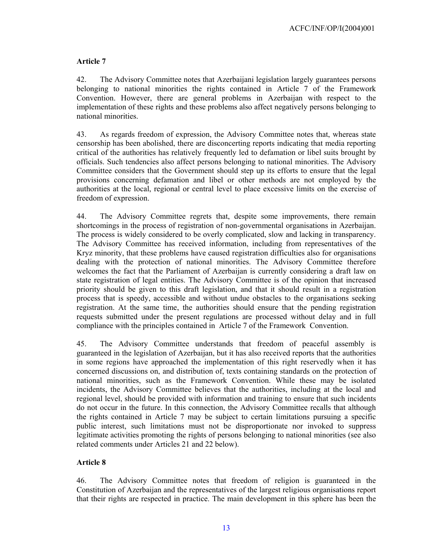# **Article 7**

42. The Advisory Committee notes that Azerbaijani legislation largely guarantees persons belonging to national minorities the rights contained in Article 7 of the Framework Convention. However, there are general problems in Azerbaijan with respect to the implementation of these rights and these problems also affect negatively persons belonging to national minorities.

43. As regards freedom of expression, the Advisory Committee notes that, whereas state censorship has been abolished, there are disconcerting reports indicating that media reporting critical of the authorities has relatively frequently led to defamation or libel suits brought by officials. Such tendencies also affect persons belonging to national minorities. The Advisory Committee considers that the Government should step up its efforts to ensure that the legal provisions concerning defamation and libel or other methods are not employed by the authorities at the local, regional or central level to place excessive limits on the exercise of freedom of expression.

44. The Advisory Committee regrets that, despite some improvements, there remain shortcomings in the process of registration of non-governmental organisations in Azerbaijan. The process is widely considered to be overly complicated, slow and lacking in transparency. The Advisory Committee has received information, including from representatives of the Kryz minority, that these problems have caused registration difficulties also for organisations dealing with the protection of national minorities. The Advisory Committee therefore welcomes the fact that the Parliament of Azerbaijan is currently considering a draft law on state registration of legal entities. The Advisory Committee is of the opinion that increased priority should be given to this draft legislation, and that it should result in a registration process that is speedy, accessible and without undue obstacles to the organisations seeking registration. At the same time, the authorities should ensure that the pending registration requests submitted under the present regulations are processed without delay and in full compliance with the principles contained in Article 7 of the Framework Convention.

45. The Advisory Committee understands that freedom of peaceful assembly is guaranteed in the legislation of Azerbaijan, but it has also received reports that the authorities in some regions have approached the implementation of this right reservedly when it has concerned discussions on, and distribution of, texts containing standards on the protection of national minorities, such as the Framework Convention. While these may be isolated incidents, the Advisory Committee believes that the authorities, including at the local and regional level, should be provided with information and training to ensure that such incidents do not occur in the future. In this connection, the Advisory Committee recalls that although the rights contained in Article 7 may be subject to certain limitations pursuing a specific public interest, such limitations must not be disproportionate nor invoked to suppress legitimate activities promoting the rights of persons belonging to national minorities (see also related comments under Articles 21 and 22 below).

# **Article 8**

46. The Advisory Committee notes that freedom of religion is guaranteed in the Constitution of Azerbaijan and the representatives of the largest religious organisations report that their rights are respected in practice. The main development in this sphere has been the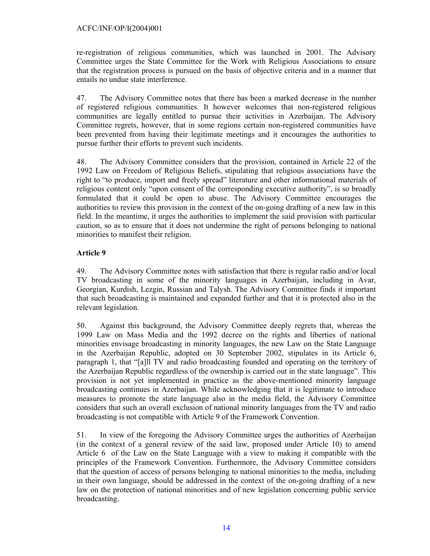re-registration of religious communities, which was launched in 2001. The Advisory Committee urges the State Committee for the Work with Religious Associations to ensure that the registration process is pursued on the basis of objective criteria and in a manner that entails no undue state interference.

47. The Advisory Committee notes that there has been a marked decrease in the number of registered religious communities. It however welcomes that non-registered religious communities are legally entitled to pursue their activities in Azerbaijan. The Advisory Committee regrets, however, that in some regions certain non-registered communities have been prevented from having their legitimate meetings and it encourages the authorities to pursue further their efforts to prevent such incidents.

48. The Advisory Committee considers that the provision, contained in Article 22 of the 1992 Law on Freedom of Religious Beliefs, stipulating that religious associations have the right to "to produce, import and freely spread" literature and other informational materials of religious content only "upon consent of the corresponding executive authority", is so broadly formulated that it could be open to abuse. The Advisory Committee encourages the authorities to review this provision in the context of the on-going drafting of a new law in this field. In the meantime, it urges the authorities to implement the said provision with particular caution, so as to ensure that it does not undermine the right of persons belonging to national minorities to manifest their religion.

# **Article 9**

49. The Advisory Committee notes with satisfaction that there is regular radio and/or local TV broadcasting in some of the minority languages in Azerbaijan, including in Avar, Georgian, Kurdish, Lezgin, Russian and Talysh. The Advisory Committee finds it important that such broadcasting is maintained and expanded further and that it is protected also in the relevant legislation.

50. Against this background, the Advisory Committee deeply regrets that, whereas the 1999 Law on Mass Media and the 1992 decree on the rights and liberties of national minorities envisage broadcasting in minority languages, the new Law on the State Language in the Azerbaijan Republic, adopted on 30 September 2002, stipulates in its Article 6, paragraph 1, that "[a]ll TV and radio broadcasting founded and operating on the territory of the Azerbaijan Republic regardless of the ownership is carried out in the state language". This provision is not yet implemented in practice as the above-mentioned minority language broadcasting continues in Azerbaijan. While acknowledging that it is legitimate to introduce measures to promote the state language also in the media field, the Advisory Committee considers that such an overall exclusion of national minority languages from the TV and radio broadcasting is not compatible with Article 9 of the Framework Convention.

51. In view of the foregoing the Advisory Committee urges the authorities of Azerbaijan (in the context of a general review of the said law, proposed under Article 10) to amend Article 6 of the Law on the State Language with a view to making it compatible with the principles of the Framework Convention. Furthermore, the Advisory Committee considers that the question of access of persons belonging to national minorities to the media, including in their own language, should be addressed in the context of the on-going drafting of a new law on the protection of national minorities and of new legislation concerning public service broadcasting.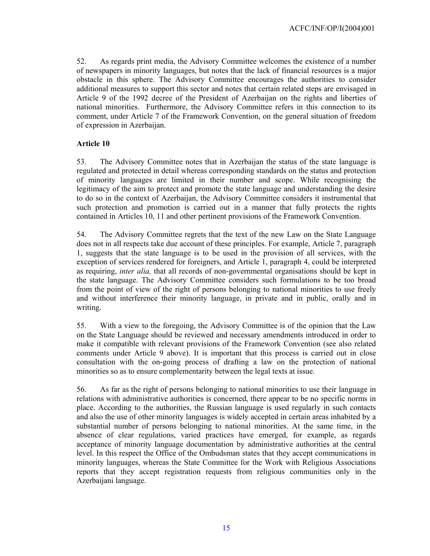52. As regards print media, the Advisory Committee welcomes the existence of a number of newspapers in minority languages, but notes that the lack of financial resources is a major obstacle in this sphere. The Advisory Committee encourages the authorities to consider additional measures to support this sector and notes that certain related steps are envisaged in Article 9 of the 1992 decree of the President of Azerbaijan on the rights and liberties of national minorities. Furthermore, the Advisory Committee refers in this connection to its comment, under Article 7 of the Framework Convention, on the general situation of freedom of expression in Azerbaijan.

### **Article 10**

53. The Advisory Committee notes that in Azerbaijan the status of the state language is regulated and protected in detail whereas corresponding standards on the status and protection of minority languages are limited in their number and scope. While recognising the legitimacy of the aim to protect and promote the state language and understanding the desire to do so in the context of Azerbaijan, the Advisory Committee considers it instrumental that such protection and promotion is carried out in a manner that fully protects the rights contained in Articles 10, 11 and other pertinent provisions of the Framework Convention.

54. The Advisory Committee regrets that the text of the new Law on the State Language does not in all respects take due account of these principles. For example, Article 7, paragraph 1, suggests that the state language is to be used in the provision of all services, with the exception of services rendered for foreigners, and Article 1, paragraph 4, could be interpreted as requiring, *inter alia,* that all records of non-governmental organisations should be kept in the state language. The Advisory Committee considers such formulations to be too broad from the point of view of the right of persons belonging to national minorities to use freely and without interference their minority language, in private and in public, orally and in writing.

55. With a view to the foregoing, the Advisory Committee is of the opinion that the Law on the State Language should be reviewed and necessary amendments introduced in order to make it compatible with relevant provisions of the Framework Convention (see also related comments under Article 9 above). It is important that this process is carried out in close consultation with the on-going process of drafting a law on the protection of national minorities so as to ensure complementarity between the legal texts at issue.

56. As far as the right of persons belonging to national minorities to use their language in relations with administrative authorities is concerned, there appear to be no specific norms in place. According to the authorities, the Russian language is used regularly in such contacts and also the use of other minority languages is widely accepted in certain areas inhabited by a substantial number of persons belonging to national minorities. At the same time, in the absence of clear regulations, varied practices have emerged, for example, as regards acceptance of minority language documentation by administrative authorities at the central level. In this respect the Office of the Ombudsman states that they accept communications in minority languages, whereas the State Committee for the Work with Religious Associations reports that they accept registration requests from religious communities only in the Azerbaijani language.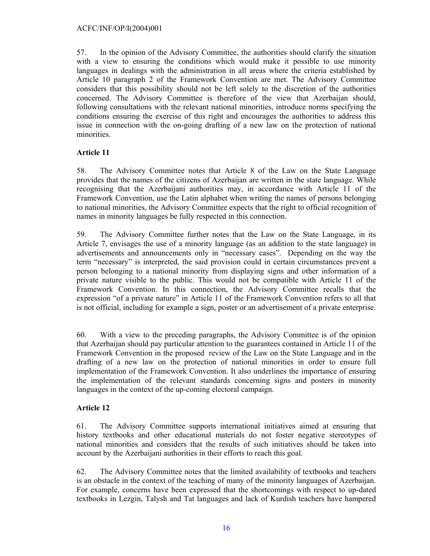57. In the opinion of the Advisory Committee, the authorities should clarify the situation with a view to ensuring the conditions which would make it possible to use minority languages in dealings with the administration in all areas where the criteria established by Article 10 paragraph 2 of the Framework Convention are met. The Advisory Committee considers that this possibility should not be left solely to the discretion of the authorities concerned. The Advisory Committee is therefore of the view that Azerbaijan should, following consultations with the relevant national minorities, introduce norms specifying the conditions ensuring the exercise of this right and encourages the authorities to address this issue in connection with the on-going drafting of a new law on the protection of national minorities.

# **Article 11**

58. The Advisory Committee notes that Article 8 of the Law on the State Language provides that the names of the citizens of Azerbaijan are written in the state language. While recognising that the Azerbaijani authorities may, in accordance with Article 11 of the Framework Convention, use the Latin alphabet when writing the names of persons belonging to national minorities, the Advisory Committee expects that the right to official recognition of names in minority languages be fully respected in this connection.

59. The Advisory Committee further notes that the Law on the State Language, in its Article 7, envisages the use of a minority language (as an addition to the state language) in advertisements and announcements only in "necessary cases". Depending on the way the term "necessary" is interpreted, the said provision could in certain circumstances prevent a person belonging to a national minority from displaying signs and other information of a private nature visible to the public. This would not be compatible with Article 11 of the Framework Convention. In this connection, the Advisory Committee recalls that the expression "of a private nature" in Article 11 of the Framework Convention refers to all that is not official, including for example a sign, poster or an advertisement of a private enterprise.

60. With a view to the preceding paragraphs, the Advisory Committee is of the opinion that Azerbaijan should pay particular attention to the guarantees contained in Article 11 of the Framework Convention in the proposed review of the Law on the State Language and in the drafting of a new law on the protection of national minorities in order to ensure full implementation of the Framework Convention. It also underlines the importance of ensuring the implementation of the relevant standards concerning signs and posters in minority languages in the context of the up-coming electoral campaign.

# **Article 12**

61. The Advisory Committee supports international initiatives aimed at ensuring that history textbooks and other educational materials do not foster negative stereotypes of national minorities and considers that the results of such initiatives should be taken into account by the Azerbaijani authorities in their efforts to reach this goal.

62. The Advisory Committee notes that the limited availability of textbooks and teachers is an obstacle in the context of the teaching of many of the minority languages of Azerbaijan. For example, concerns have been expressed that the shortcomings with respect to up-dated textbooks in Lezgin, Talysh and Tat languages and lack of Kurdish teachers have hampered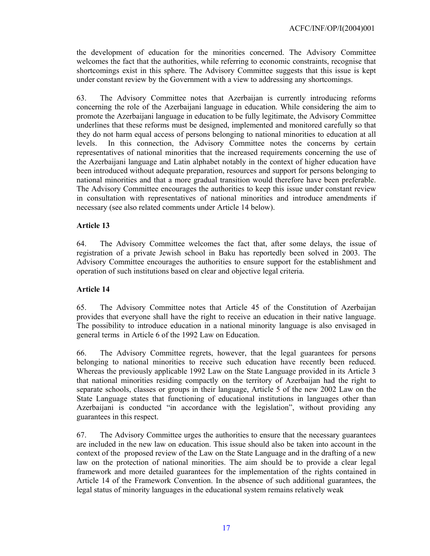the development of education for the minorities concerned. The Advisory Committee welcomes the fact that the authorities, while referring to economic constraints, recognise that shortcomings exist in this sphere. The Advisory Committee suggests that this issue is kept under constant review by the Government with a view to addressing any shortcomings.

63. The Advisory Committee notes that Azerbaijan is currently introducing reforms concerning the role of the Azerbaijani language in education. While considering the aim to promote the Azerbaijani language in education to be fully legitimate, the Advisory Committee underlines that these reforms must be designed, implemented and monitored carefully so that they do not harm equal access of persons belonging to national minorities to education at all levels. In this connection, the Advisory Committee notes the concerns by certain representatives of national minorities that the increased requirements concerning the use of the Azerbaijani language and Latin alphabet notably in the context of higher education have been introduced without adequate preparation, resources and support for persons belonging to national minorities and that a more gradual transition would therefore have been preferable. The Advisory Committee encourages the authorities to keep this issue under constant review in consultation with representatives of national minorities and introduce amendments if necessary (see also related comments under Article 14 below).

# **Article 13**

64. The Advisory Committee welcomes the fact that, after some delays, the issue of registration of a private Jewish school in Baku has reportedly been solved in 2003. The Advisory Committee encourages the authorities to ensure support for the establishment and operation of such institutions based on clear and objective legal criteria.

# **Article 14**

65. The Advisory Committee notes that Article 45 of the Constitution of Azerbaijan provides that everyone shall have the right to receive an education in their native language. The possibility to introduce education in a national minority language is also envisaged in general terms in Article 6 of the 1992 Law on Education.

66. The Advisory Committee regrets, however, that the legal guarantees for persons belonging to national minorities to receive such education have recently been reduced. Whereas the previously applicable 1992 Law on the State Language provided in its Article 3 that national minorities residing compactly on the territory of Azerbaijan had the right to separate schools, classes or groups in their language, Article 5 of the new 2002 Law on the State Language states that functioning of educational institutions in languages other than Azerbaijani is conducted "in accordance with the legislation", without providing any guarantees in this respect.

67. The Advisory Committee urges the authorities to ensure that the necessary guarantees are included in the new law on education. This issue should also be taken into account in the context of the proposed review of the Law on the State Language and in the drafting of a new law on the protection of national minorities. The aim should be to provide a clear legal framework and more detailed guarantees for the implementation of the rights contained in Article 14 of the Framework Convention. In the absence of such additional guarantees, the legal status of minority languages in the educational system remains relatively weak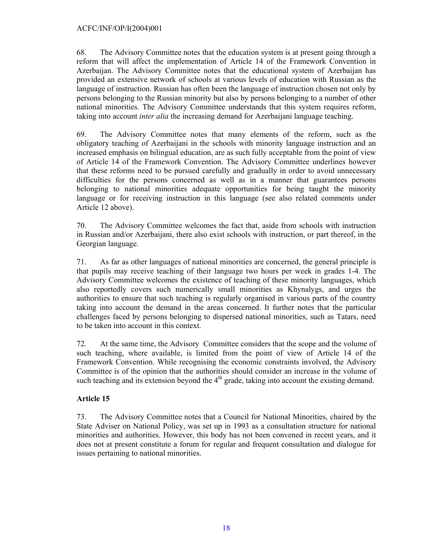68. The Advisory Committee notes that the education system is at present going through a reform that will affect the implementation of Article 14 of the Framework Convention in Azerbaijan. The Advisory Committee notes that the educational system of Azerbaijan has provided an extensive network of schools at various levels of education with Russian as the language of instruction. Russian has often been the language of instruction chosen not only by persons belonging to the Russian minority but also by persons belonging to a number of other national minorities. The Advisory Committee understands that this system requires reform, taking into account *inter alia* the increasing demand for Azerbaijani language teaching.

69. The Advisory Committee notes that many elements of the reform, such as the obligatory teaching of Azerbaijani in the schools with minority language instruction and an increased emphasis on bilingual education, are as such fully acceptable from the point of view of Article 14 of the Framework Convention. The Advisory Committee underlines however that these reforms need to be pursued carefully and gradually in order to avoid unnecessary difficulties for the persons concerned as well as in a manner that guarantees persons belonging to national minorities adequate opportunities for being taught the minority language or for receiving instruction in this language (see also related comments under Article 12 above).

70. The Advisory Committee welcomes the fact that, aside from schools with instruction in Russian and/or Azerbaijani, there also exist schools with instruction, or part thereof, in the Georgian language.

71. As far as other languages of national minorities are concerned, the general principle is that pupils may receive teaching of their language two hours per week in grades 1-4. The Advisory Committee welcomes the existence of teaching of these minority languages, which also reportedly covers such numerically small minorities as Khynalygs, and urges the authorities to ensure that such teaching is regularly organised in various parts of the country taking into account the demand in the areas concerned. It further notes that the particular challenges faced by persons belonging to dispersed national minorities, such as Tatars, need to be taken into account in this context.

72. At the same time, the Advisory Committee considers that the scope and the volume of such teaching, where available, is limited from the point of view of Article 14 of the Framework Convention. While recognising the economic constraints involved, the Advisory Committee is of the opinion that the authorities should consider an increase in the volume of such teaching and its extension beyond the  $4<sup>th</sup>$  grade, taking into account the existing demand.

# **Article 15**

73. The Advisory Committee notes that a Council for National Minorities, chaired by the State Adviser on National Policy, was set up in 1993 as a consultation structure for national minorities and authorities. However, this body has not been convened in recent years, and it does not at present constitute a forum for regular and frequent consultation and dialogue for issues pertaining to national minorities.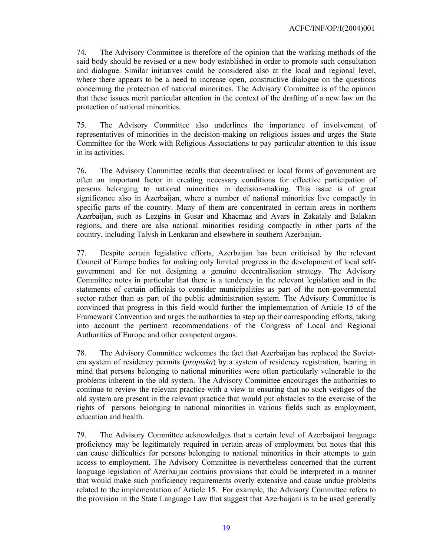74. The Advisory Committee is therefore of the opinion that the working methods of the said body should be revised or a new body established in order to promote such consultation and dialogue. Similar initiatives could be considered also at the local and regional level, where there appears to be a need to increase open, constructive dialogue on the questions concerning the protection of national minorities. The Advisory Committee is of the opinion that these issues merit particular attention in the context of the drafting of a new law on the protection of national minorities.

75. The Advisory Committee also underlines the importance of involvement of representatives of minorities in the decision-making on religious issues and urges the State Committee for the Work with Religious Associations to pay particular attention to this issue in its activities.

76. The Advisory Committee recalls that decentralised or local forms of government are often an important factor in creating necessary conditions for effective participation of persons belonging to national minorities in decision-making. This issue is of great significance also in Azerbaijan, where a number of national minorities live compactly in specific parts of the country. Many of them are concentrated in certain areas in northern Azerbaijan, such as Lezgins in Gusar and Khacmaz and Avars in Zakataly and Balakan regions, and there are also national minorities residing compactly in other parts of the country, including Talysh in Lenkaran and elsewhere in southern Azerbaijan.

77. Despite certain legislative efforts, Azerbaijan has been criticised by the relevant Council of Europe bodies for making only limited progress in the development of local selfgovernment and for not designing a genuine decentralisation strategy. The Advisory Committee notes in particular that there is a tendency in the relevant legislation and in the statements of certain officials to consider municipalities as part of the non-governmental sector rather than as part of the public administration system. The Advisory Committee is convinced that progress in this field would further the implementation of Article 15 of the Framework Convention and urges the authorities to step up their corresponding efforts, taking into account the pertinent recommendations of the Congress of Local and Regional Authorities of Europe and other competent organs.

78. The Advisory Committee welcomes the fact that Azerbaijan has replaced the Sovietera system of residency permits (*propiska*) by a system of residency registration, bearing in mind that persons belonging to national minorities were often particularly vulnerable to the problems inherent in the old system. The Advisory Committee encourages the authorities to continue to review the relevant practice with a view to ensuring that no such vestiges of the old system are present in the relevant practice that would put obstacles to the exercise of the rights of persons belonging to national minorities in various fields such as employment, education and health.

79. The Advisory Committee acknowledges that a certain level of Azerbaijani language proficiency may be legitimately required in certain areas of employment but notes that this can cause difficulties for persons belonging to national minorities in their attempts to gain access to employment. The Advisory Committee is nevertheless concerned that the current language legislation of Azerbaijan contains provisions that could be interpreted in a manner that would make such proficiency requirements overly extensive and cause undue problems related to the implementation of Article 15. For example, the Advisory Committee refers to the provision in the State Language Law that suggest that Azerbaijani is to be used generally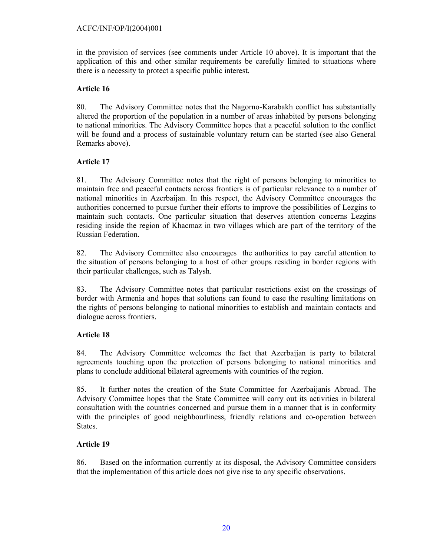in the provision of services (see comments under Article 10 above). It is important that the application of this and other similar requirements be carefully limited to situations where there is a necessity to protect a specific public interest.

# **Article 16**

80. The Advisory Committee notes that the Nagorno-Karabakh conflict has substantially altered the proportion of the population in a number of areas inhabited by persons belonging to national minorities. The Advisory Committee hopes that a peaceful solution to the conflict will be found and a process of sustainable voluntary return can be started (see also General Remarks above).

# **Article 17**

81. The Advisory Committee notes that the right of persons belonging to minorities to maintain free and peaceful contacts across frontiers is of particular relevance to a number of national minorities in Azerbaijan. In this respect, the Advisory Committee encourages the authorities concerned to pursue further their efforts to improve the possibilities of Lezgins to maintain such contacts. One particular situation that deserves attention concerns Lezgins residing inside the region of Khacmaz in two villages which are part of the territory of the Russian Federation.

82. The Advisory Committee also encourages the authorities to pay careful attention to the situation of persons belonging to a host of other groups residing in border regions with their particular challenges, such as Talysh.

83. The Advisory Committee notes that particular restrictions exist on the crossings of border with Armenia and hopes that solutions can found to ease the resulting limitations on the rights of persons belonging to national minorities to establish and maintain contacts and dialogue across frontiers.

# **Article 18**

84. The Advisory Committee welcomes the fact that Azerbaijan is party to bilateral agreements touching upon the protection of persons belonging to national minorities and plans to conclude additional bilateral agreements with countries of the region.

85. It further notes the creation of the State Committee for Azerbaijanis Abroad. The Advisory Committee hopes that the State Committee will carry out its activities in bilateral consultation with the countries concerned and pursue them in a manner that is in conformity with the principles of good neighbourliness, friendly relations and co-operation between States.

# **Article 19**

86. Based on the information currently at its disposal, the Advisory Committee considers that the implementation of this article does not give rise to any specific observations.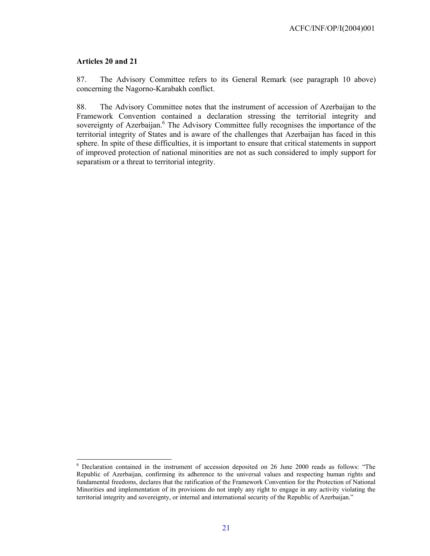### **Articles 20 and 21**

l

87. The Advisory Committee refers to its General Remark (see paragraph 10 above) concerning the Nagorno-Karabakh conflict.

88. The Advisory Committee notes that the instrument of accession of Azerbaijan to the Framework Convention contained a declaration stressing the territorial integrity and sovereignty of Azerbaijan.<sup>6</sup> The Advisory Committee fully recognises the importance of the territorial integrity of States and is aware of the challenges that Azerbaijan has faced in this sphere. In spite of these difficulties, it is important to ensure that critical statements in support of improved protection of national minorities are not as such considered to imply support for separatism or a threat to territorial integrity.

<sup>&</sup>lt;sup>6</sup> Declaration contained in the instrument of accession deposited on 26 June 2000 reads as follows: "The Republic of Azerbaijan, confirming its adherence to the universal values and respecting human rights and fundamental freedoms, declares that the ratification of the Framework Convention for the Protection of National Minorities and implementation of its provisions do not imply any right to engage in any activity violating the territorial integrity and sovereignty, or internal and international security of the Republic of Azerbaijan."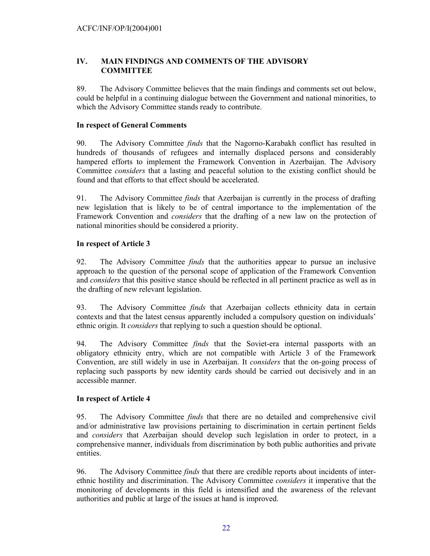### **IV. MAIN FINDINGS AND COMMENTS OF THE ADVISORY COMMITTEE**

89. The Advisory Committee believes that the main findings and comments set out below, could be helpful in a continuing dialogue between the Government and national minorities, to which the Advisory Committee stands ready to contribute.

### **In respect of General Comments**

90. The Advisory Committee *finds* that the Nagorno-Karabakh conflict has resulted in hundreds of thousands of refugees and internally displaced persons and considerably hampered efforts to implement the Framework Convention in Azerbaijan. The Advisory Committee *considers* that a lasting and peaceful solution to the existing conflict should be found and that efforts to that effect should be accelerated.

91. The Advisory Committee *finds* that Azerbaijan is currently in the process of drafting new legislation that is likely to be of central importance to the implementation of the Framework Convention and *considers* that the drafting of a new law on the protection of national minorities should be considered a priority.

### **In respect of Article 3**

92. The Advisory Committee *finds* that the authorities appear to pursue an inclusive approach to the question of the personal scope of application of the Framework Convention and *considers* that this positive stance should be reflected in all pertinent practice as well as in the drafting of new relevant legislation.

93. The Advisory Committee *finds* that Azerbaijan collects ethnicity data in certain contexts and that the latest census apparently included a compulsory question on individuals' ethnic origin. It *considers* that replying to such a question should be optional.

94. The Advisory Committee *finds* that the Soviet-era internal passports with an obligatory ethnicity entry, which are not compatible with Article 3 of the Framework Convention, are still widely in use in Azerbaijan. It *considers* that the on-going process of replacing such passports by new identity cards should be carried out decisively and in an accessible manner.

#### **In respect of Article 4**

95. The Advisory Committee *finds* that there are no detailed and comprehensive civil and/or administrative law provisions pertaining to discrimination in certain pertinent fields and *considers* that Azerbaijan should develop such legislation in order to protect, in a comprehensive manner, individuals from discrimination by both public authorities and private entities.

96. The Advisory Committee *finds* that there are credible reports about incidents of interethnic hostility and discrimination. The Advisory Committee *considers* it imperative that the monitoring of developments in this field is intensified and the awareness of the relevant authorities and public at large of the issues at hand is improved.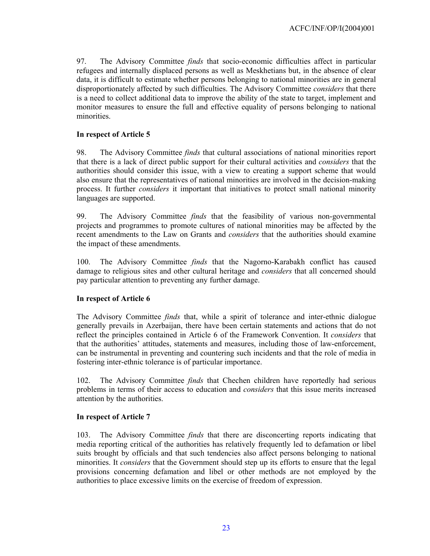97. The Advisory Committee *finds* that socio-economic difficulties affect in particular refugees and internally displaced persons as well as Meskhetians but, in the absence of clear data, it is difficult to estimate whether persons belonging to national minorities are in general disproportionately affected by such difficulties. The Advisory Committee *considers* that there is a need to collect additional data to improve the ability of the state to target, implement and monitor measures to ensure the full and effective equality of persons belonging to national minorities.

# **In respect of Article 5**

98. The Advisory Committee *finds* that cultural associations of national minorities report that there is a lack of direct public support for their cultural activities and *considers* that the authorities should consider this issue, with a view to creating a support scheme that would also ensure that the representatives of national minorities are involved in the decision-making process. It further *considers* it important that initiatives to protect small national minority languages are supported.

99. The Advisory Committee *finds* that the feasibility of various non-governmental projects and programmes to promote cultures of national minorities may be affected by the recent amendments to the Law on Grants and *considers* that the authorities should examine the impact of these amendments.

100. The Advisory Committee *finds* that the Nagorno-Karabakh conflict has caused damage to religious sites and other cultural heritage and *considers* that all concerned should pay particular attention to preventing any further damage.

#### **In respect of Article 6**

The Advisory Committee *finds* that, while a spirit of tolerance and inter-ethnic dialogue generally prevails in Azerbaijan, there have been certain statements and actions that do not reflect the principles contained in Article 6 of the Framework Convention. It *considers* that that the authorities' attitudes, statements and measures, including those of law-enforcement, can be instrumental in preventing and countering such incidents and that the role of media in fostering inter-ethnic tolerance is of particular importance.

102. The Advisory Committee *finds* that Chechen children have reportedly had serious problems in terms of their access to education and *considers* that this issue merits increased attention by the authorities.

#### **In respect of Article 7**

103. The Advisory Committee *finds* that there are disconcerting reports indicating that media reporting critical of the authorities has relatively frequently led to defamation or libel suits brought by officials and that such tendencies also affect persons belonging to national minorities. It *considers* that the Government should step up its efforts to ensure that the legal provisions concerning defamation and libel or other methods are not employed by the authorities to place excessive limits on the exercise of freedom of expression.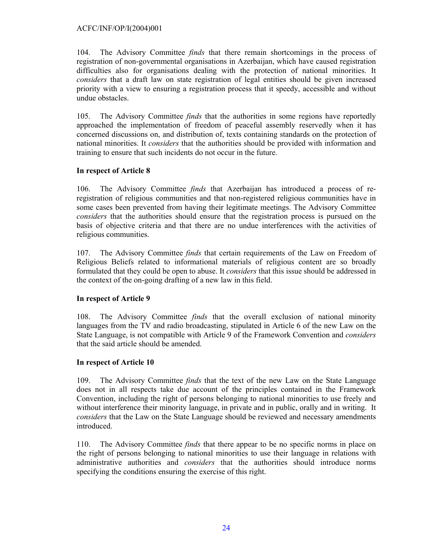104. The Advisory Committee *finds* that there remain shortcomings in the process of registration of non-governmental organisations in Azerbaijan, which have caused registration difficulties also for organisations dealing with the protection of national minorities. It *considers* that a draft law on state registration of legal entities should be given increased priority with a view to ensuring a registration process that it speedy, accessible and without undue obstacles.

105. The Advisory Committee *finds* that the authorities in some regions have reportedly approached the implementation of freedom of peaceful assembly reservedly when it has concerned discussions on, and distribution of, texts containing standards on the protection of national minorities. It *considers* that the authorities should be provided with information and training to ensure that such incidents do not occur in the future.

# **In respect of Article 8**

106. The Advisory Committee *finds* that Azerbaijan has introduced a process of reregistration of religious communities and that non-registered religious communities have in some cases been prevented from having their legitimate meetings. The Advisory Committee *considers* that the authorities should ensure that the registration process is pursued on the basis of objective criteria and that there are no undue interferences with the activities of religious communities.

107. The Advisory Committee *finds* that certain requirements of the Law on Freedom of Religious Beliefs related to informational materials of religious content are so broadly formulated that they could be open to abuse. It *considers* that this issue should be addressed in the context of the on-going drafting of a new law in this field.

# **In respect of Article 9**

108. The Advisory Committee *finds* that the overall exclusion of national minority languages from the TV and radio broadcasting, stipulated in Article 6 of the new Law on the State Language, is not compatible with Article 9 of the Framework Convention and *considers* that the said article should be amended.

#### **In respect of Article 10**

109. The Advisory Committee *finds* that the text of the new Law on the State Language does not in all respects take due account of the principles contained in the Framework Convention, including the right of persons belonging to national minorities to use freely and without interference their minority language, in private and in public, orally and in writing. It *considers* that the Law on the State Language should be reviewed and necessary amendments introduced.

110. The Advisory Committee *finds* that there appear to be no specific norms in place on the right of persons belonging to national minorities to use their language in relations with administrative authorities and *considers* that the authorities should introduce norms specifying the conditions ensuring the exercise of this right.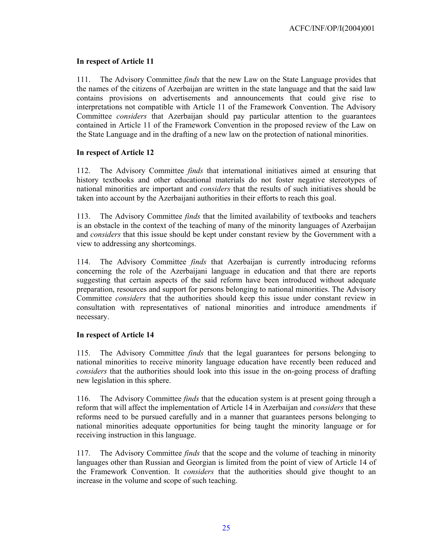### **In respect of Article 11**

111. The Advisory Committee *finds* that the new Law on the State Language provides that the names of the citizens of Azerbaijan are written in the state language and that the said law contains provisions on advertisements and announcements that could give rise to interpretations not compatible with Article 11 of the Framework Convention. The Advisory Committee *considers* that Azerbaijan should pay particular attention to the guarantees contained in Article 11 of the Framework Convention in the proposed review of the Law on the State Language and in the drafting of a new law on the protection of national minorities.

### **In respect of Article 12**

112. The Advisory Committee *finds* that international initiatives aimed at ensuring that history textbooks and other educational materials do not foster negative stereotypes of national minorities are important and *considers* that the results of such initiatives should be taken into account by the Azerbaijani authorities in their efforts to reach this goal.

113. The Advisory Committee *finds* that the limited availability of textbooks and teachers is an obstacle in the context of the teaching of many of the minority languages of Azerbaijan and *considers* that this issue should be kept under constant review by the Government with a view to addressing any shortcomings.

114. The Advisory Committee *finds* that Azerbaijan is currently introducing reforms concerning the role of the Azerbaijani language in education and that there are reports suggesting that certain aspects of the said reform have been introduced without adequate preparation, resources and support for persons belonging to national minorities. The Advisory Committee *considers* that the authorities should keep this issue under constant review in consultation with representatives of national minorities and introduce amendments if necessary.

#### **In respect of Article 14**

115. The Advisory Committee *finds* that the legal guarantees for persons belonging to national minorities to receive minority language education have recently been reduced and *considers* that the authorities should look into this issue in the on-going process of drafting new legislation in this sphere.

116. The Advisory Committee *finds* that the education system is at present going through a reform that will affect the implementation of Article 14 in Azerbaijan and *considers* that these reforms need to be pursued carefully and in a manner that guarantees persons belonging to national minorities adequate opportunities for being taught the minority language or for receiving instruction in this language.

117. The Advisory Committee *finds* that the scope and the volume of teaching in minority languages other than Russian and Georgian is limited from the point of view of Article 14 of the Framework Convention. It *considers* that the authorities should give thought to an increase in the volume and scope of such teaching.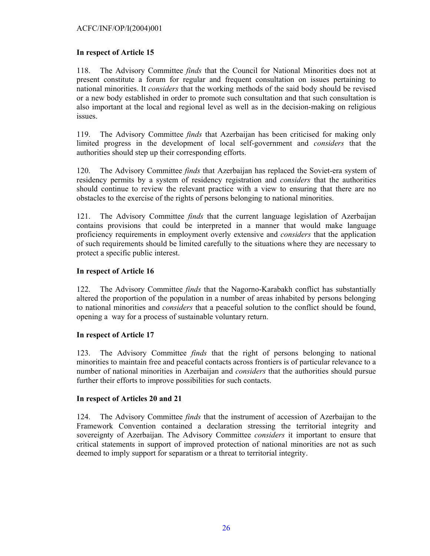### **In respect of Article 15**

118. The Advisory Committee *finds* that the Council for National Minorities does not at present constitute a forum for regular and frequent consultation on issues pertaining to national minorities. It *considers* that the working methods of the said body should be revised or a new body established in order to promote such consultation and that such consultation is also important at the local and regional level as well as in the decision-making on religious issues.

119. The Advisory Committee *finds* that Azerbaijan has been criticised for making only limited progress in the development of local self-government and *considers* that the authorities should step up their corresponding efforts.

120. The Advisory Committee *finds* that Azerbaijan has replaced the Soviet-era system of residency permits by a system of residency registration and *considers* that the authorities should continue to review the relevant practice with a view to ensuring that there are no obstacles to the exercise of the rights of persons belonging to national minorities.

121. The Advisory Committee *finds* that the current language legislation of Azerbaijan contains provisions that could be interpreted in a manner that would make language proficiency requirements in employment overly extensive and *considers* that the application of such requirements should be limited carefully to the situations where they are necessary to protect a specific public interest.

#### **In respect of Article 16**

122. The Advisory Committee *finds* that the Nagorno-Karabakh conflict has substantially altered the proportion of the population in a number of areas inhabited by persons belonging to national minorities and *considers* that a peaceful solution to the conflict should be found, opening a way for a process of sustainable voluntary return.

#### **In respect of Article 17**

123. The Advisory Committee *finds* that the right of persons belonging to national minorities to maintain free and peaceful contacts across frontiers is of particular relevance to a number of national minorities in Azerbaijan and *considers* that the authorities should pursue further their efforts to improve possibilities for such contacts.

#### **In respect of Articles 20 and 21**

124. The Advisory Committee *finds* that the instrument of accession of Azerbaijan to the Framework Convention contained a declaration stressing the territorial integrity and sovereignty of Azerbaijan. The Advisory Committee *considers* it important to ensure that critical statements in support of improved protection of national minorities are not as such deemed to imply support for separatism or a threat to territorial integrity.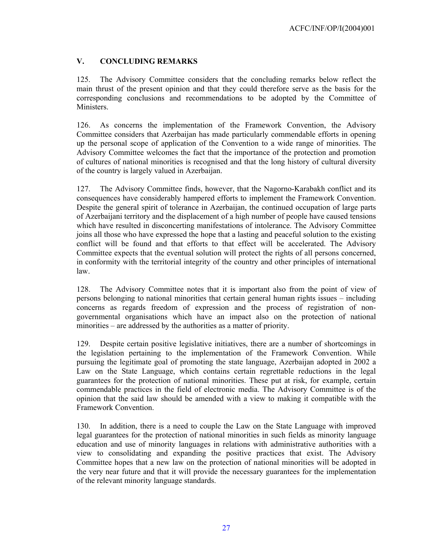# **V. CONCLUDING REMARKS**

125. The Advisory Committee considers that the concluding remarks below reflect the main thrust of the present opinion and that they could therefore serve as the basis for the corresponding conclusions and recommendations to be adopted by the Committee of Ministers.

126. As concerns the implementation of the Framework Convention, the Advisory Committee considers that Azerbaijan has made particularly commendable efforts in opening up the personal scope of application of the Convention to a wide range of minorities. The Advisory Committee welcomes the fact that the importance of the protection and promotion of cultures of national minorities is recognised and that the long history of cultural diversity of the country is largely valued in Azerbaijan.

127. The Advisory Committee finds, however, that the Nagorno-Karabakh conflict and its consequences have considerably hampered efforts to implement the Framework Convention. Despite the general spirit of tolerance in Azerbaijan, the continued occupation of large parts of Azerbaijani territory and the displacement of a high number of people have caused tensions which have resulted in disconcerting manifestations of intolerance. The Advisory Committee joins all those who have expressed the hope that a lasting and peaceful solution to the existing conflict will be found and that efforts to that effect will be accelerated. The Advisory Committee expects that the eventual solution will protect the rights of all persons concerned, in conformity with the territorial integrity of the country and other principles of international law.

128. The Advisory Committee notes that it is important also from the point of view of persons belonging to national minorities that certain general human rights issues – including concerns as regards freedom of expression and the process of registration of nongovernmental organisations which have an impact also on the protection of national minorities – are addressed by the authorities as a matter of priority.

129. Despite certain positive legislative initiatives, there are a number of shortcomings in the legislation pertaining to the implementation of the Framework Convention. While pursuing the legitimate goal of promoting the state language, Azerbaijan adopted in 2002 a Law on the State Language, which contains certain regrettable reductions in the legal guarantees for the protection of national minorities. These put at risk, for example, certain commendable practices in the field of electronic media. The Advisory Committee is of the opinion that the said law should be amended with a view to making it compatible with the Framework Convention.

130. In addition, there is a need to couple the Law on the State Language with improved legal guarantees for the protection of national minorities in such fields as minority language education and use of minority languages in relations with administrative authorities with a view to consolidating and expanding the positive practices that exist. The Advisory Committee hopes that a new law on the protection of national minorities will be adopted in the very near future and that it will provide the necessary guarantees for the implementation of the relevant minority language standards.